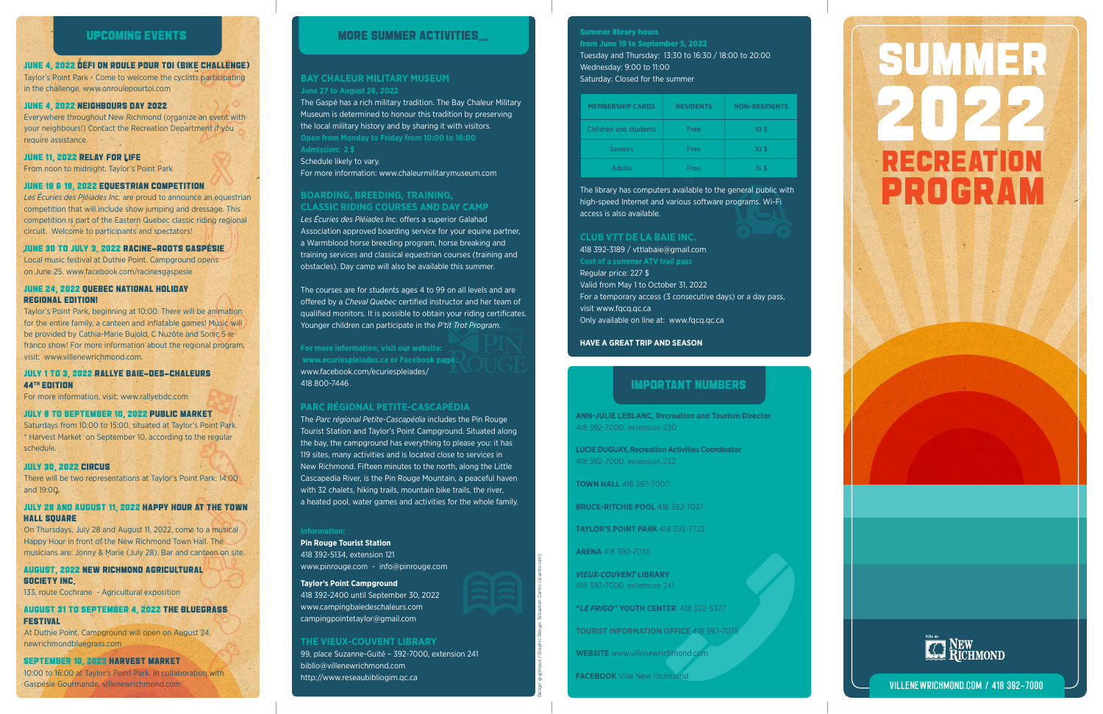### **BAY CHALEUR MILITARY MUSEUM June 27 to August 26, 2022**

The Gaspé has a rich military tradition. The Bay Chaleur Military Museum is determined to honour this tradition by preserving the local military history and by sharing it with visitors. **Admission: 2 \$**

Schedule likely to vary. For more information: www.chaleurmilitarymuseum.com

#### **BOARDING, BREEDING, TRAINING, CLASSIC RIDING COURSES AND DAY CAMP**

*Les Écuries des Pléiades Inc*. offers a superior Galahad Association approved boarding service for your equine partner, a Warmblood horse breeding program, horse breaking and training services and classical equestrian courses (training and obstacles). Day camp will also be available this summer.

The courses are for students ages 4 to 99 on all levels and are offered by a *Cheval Quebec* certified instructor and her team of qualified monitors. It is possible to obtain your riding certificates. Younger children can participate in the *P'tit Trot Program*.

**For more information, visit our website: www.ecuriespleiades.ca or Facebook page :** www.facebook.com/ecuriespleiades/ 418 800-7446

## **PARC RÉGIONAL PETITE-CASCAPÉDIA**

The *Parc régional Petite-Cascapédia* includes the Pin Rouge Tourist Station and Taylor's Point Campground. Situated along the bay, the campground has everything to please you: it has 119 sites, many activities and is located close to services in New Richmond. Fifteen minutes to the north, along the Little Cascapedia River, is the Pin Rouge Mountain, a peaceful haven with 32 chalets, hiking trails, mountain bike trails, the river, a heated pool, water games and activities for the whole family.

**Pin Rouge Tourist Station** 418 392-5134, extension 121 www.pinrouge.com - info@pinrouge.com

#### **Taylor's Point Campground**

#### JULY 28 AND AUGUST 11, 2022 HAPPY HOUR AT THE TOWN **HALL SOUARE**

418 392-2400 until September 30, 2022 www.campingbaiedeschaleurs.com campingpointetaylor@gmail.com

## **THE VIEUX-COUVENT LIBRARY**

99, place Suzanne-Guité – 392-7000, extension 241 biblio@villenewrichmond.com http://www.reseaubibliogim.qc.ca

Design graphique / Graphic Design: Sébastien Cantin (scantin.com)

#### JUNE 4, 2022 DÉFI ON ROULE POUR TOI (BIKE CHALLENGE)

Taylor's Point Park - Come to welcome the cyclists participating in the challenge. www.onroulepourtoi.com

#### JUNE 4, 2022 NEIGHBOURS DAY 2022

Everywhere throughout New Richmond (organize an event with your neighbours!) Contact the Recreation Department if you require assistance.

#### JUNE 11, 2022 RELAY FOR LIFE

From noon to midnight. Taylor's Point Park .

#### JUNE 18 & 19, 2022 EQUESTRIAN COMPETITION

*Les Écuries des Pléiades Inc.* are proud to announce an equestrian competition that will include show jumping and dressage. This competition is part of the Eastern Quebec classic riding regional circuit. Welcome to participants and spectators!

#### JUNE 30 TO JULY 3, 2022 RACINE-ROOTS GASPÉSIE

Local music festival at Duthie Point. Campground opens on June 25. www.facebook.com/racinesgaspesie

#### JUNE 24, 2022 QUEBEC NATIONAL HOLIDAY REGIONAL EDITION!

Taylor's Point Park, beginning at 10:00. There will be animation for the entire family, a canteen and inflatable games! Music will be provided by Cathia-Marie Bujold, C Nuzôte and Sonic 5 le franco show! For more information about the regional program, visit: www.villenewrichmond.com.

#### JULY 1 TO 3, 2022 RALLYE BAIE-DES-CHALEURS 44TH EDITION

For more information, visit: www.rallyebdc.com

#### JULY 9 TO SEPTEMBER 10, 2022 PUBLIC MARKET

Saturdays from 10:00 to 15:00, situated at Taylor's Point Park. \* Harvest Market on September 10, according to the regular schedule.

#### JULY 30, 2022 CIRCUS

There will be two representations at Taylor's Point Park: 14:00 and 19:00.

On Thursdays, July 28 and August 11, 2022, come to a musical Happy Hour in front of the New Richmond Town Hall. The musicians are: Jonny & Marie (July 28). Bar and canteen on site.

AUGUST, 2022 NEW RICHMOND AGRICULTURAL SOCIETY INC.

133, route Cochrane - Agricultural exposition

## AUGUST 31 TO SEPTEMBER 4, 2022 THE BLUEGRASS FESTIVAL

At Duthie Point. Campground will open on August 24. newrichmondbluegrass.com

#### SEPTEMBER 10, 2022 HARVEST MARKET

10:00 to 16:00 at Taylor's Point Park. In collaboration with Gaspésie Gourmande. villenewrichmond.com

# UPCOMING EVENTS



## Summer library hours from June 19 to September 5, 2022 Tuesday and Thursday: 13:30 to 16:30 / 18:00 to 20:00 Wednesday: 9:00 to 11:00 Saturday: Closed for the summer

| <b>MEMBERSHIP CARDS</b> | <b>RESIDENTS</b> | <b>NON-RESIDENTS</b> |
|-------------------------|------------------|----------------------|
| Children and students   | Free             | 10 <sup>5</sup>      |
| <b>Seniors</b>          | Free             | 10 <sup>5</sup>      |
| <b>Adults</b>           | Free             | 15 <sup>5</sup>      |

The library has computers available to the general public with high-speed Internet and various software programs. Wi-Fi access is also available.

#### **CLUB VTT DE LA BAIE INC.**

418 392-3189 / vttlabaie@gmail.com Regular price: 227 \$ Valid from May 1 to October 31, 2022 For a temporary access (3 consecutive days) or a day pass, visit www.fqcq.qc.ca Only available on line at: www.fqcq.qc.ca

#### **HAVE A GREAT TRIP AND SEASON**

# MORE SUMMER ACTIVITIES...

# IMPORTANT NUMBERS

**ANN-JULIE LEBLANC, Recreation and Tourism Director** 418 392-7000, extension 230

**LUCIE DUGUAY, Recreation Activities Coordinator** 418 392-7000, extension 232

**TOWN HALL 418 392-7000** 

**BRUCE-RITCHIE POOL** 418 392-7037

**TAYLOR'S POINT PARK** 418 392-7722

**ARENA** 418 392-7036

*VIEUX-COUVENT* **LIBRARY** 418 392-7000, extension 241

**"***LE FRIGO***" YOUTH CENTER** 418 392-5377

**TOURIST INFORMATION OFFICE** 418 392-7075

**WEBSITE** www.villenewrichmond.com

**FACEBOOK** Ville New Richmond